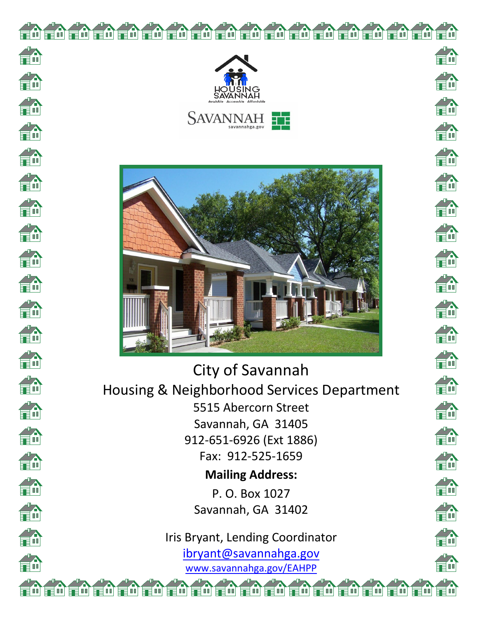

重

fi

合命

俞

俞

俞

俞

**Th** 

**TA** 

da<br>Fil

俞

fin

fi

H.

命

第

俞

俞

俞

齡

俞



City of Savannah Housing & Neighborhood Services Department 5515 Abercorn Street Savannah, GA 31405 912-651-6926 (Ext 1886) Fax: 912-525-1659 **Mailing Address:**

> P. O. Box 1027 Savannah, GA 31402

Iris Bryant, Lending Coordinator ibryant@savannahga.gov [www.savannahga.gov/](http://www.savannahga.gov/)EAHPP

**FA** FÓ ga. En 齡 俞 命 da<br>En **TA** 恐 T. 論 an<br>En iA<br>≣n 俞 en.<br>En 命 命 fù **THE** m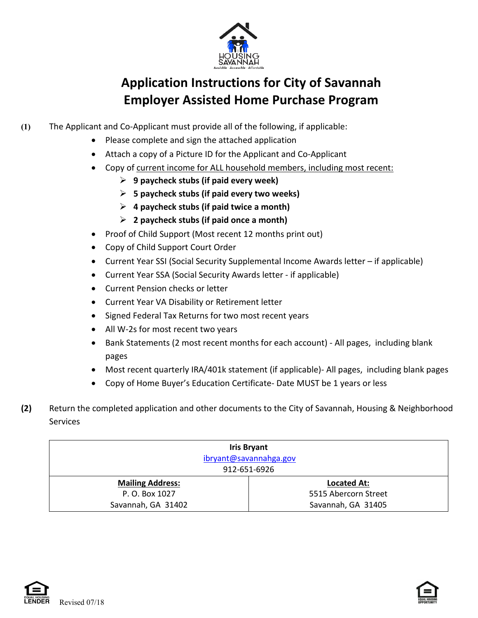

## **Application Instructions for City of Savannah Employer Assisted Home Purchase Program**

- **(1)** The Applicant and Co-Applicant must provide all of the following, if applicable:
	- Please complete and sign the attached application
	- Attach a copy of a Picture ID for the Applicant and Co-Applicant
	- Copy of current income for ALL household members, including most recent:
		- **9 paycheck stubs (if paid every week)**
		- **5 paycheck stubs (if paid every two weeks)**
		- **4 paycheck stubs (if paid twice a month)**
		- **2 paycheck stubs (if paid once a month)**
	- Proof of Child Support (Most recent 12 months print out)
	- Copy of Child Support Court Order
	- Current Year SSI (Social Security Supplemental Income Awards letter if applicable)
	- Current Year SSA (Social Security Awards letter if applicable)
	- Current Pension checks or letter
	- Current Year VA Disability or Retirement letter
	- Signed Federal Tax Returns for two most recent years
	- All W-2s for most recent two years
	- Bank Statements (2 most recent months for each account) All pages, including blank pages
	- Most recent quarterly IRA/401k statement (if applicable)- All pages, including blank pages
	- Copy of Home Buyer's Education Certificate- Date MUST be 1 years or less
- **(2)** Return the completed application and other documents to the City of Savannah, Housing & Neighborhood **Services**

| <b>Iris Bryant</b><br>ibryant@savannahga.gov<br>912-651-6926 |                      |  |
|--------------------------------------------------------------|----------------------|--|
| <b>Mailing Address:</b>                                      | <b>Located At:</b>   |  |
| P. O. Box 1027                                               | 5515 Abercorn Street |  |
| Savannah, GA 31402                                           | Savannah, GA 31405   |  |



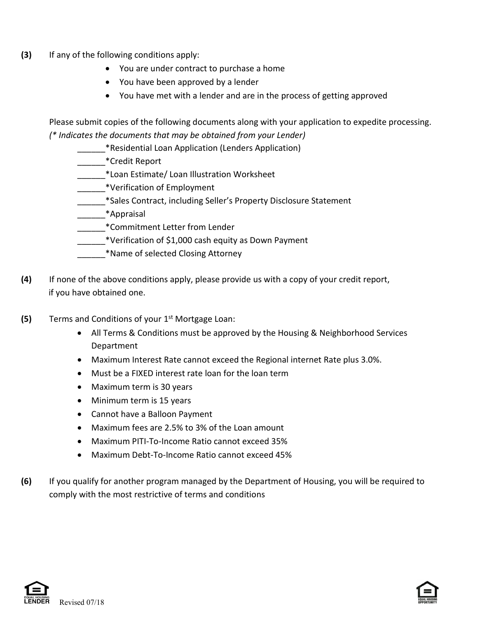- **(3)** If any of the following conditions apply:
	- You are under contract to purchase a home
	- You have been approved by a lender
	- You have met with a lender and are in the process of getting approved

Please submit copies of the following documents along with your application to expedite processing. *(\* Indicates the documents that may be obtained from your Lender)*

- \_\_\_\_\_\_\*Residential Loan Application (Lenders Application)
- \_\_\_\_\_\_\*Credit Report
- \_\_\_\_\_\_\*Loan Estimate/ Loan Illustration Worksheet
- \_\_\_\_\_\_\*Verification of Employment
- \_\_\_\_\_\_\*Sales Contract, including Seller's Property Disclosure Statement
- \_\_\_\_\_\_\*Appraisal
- \_\_\_\_\_\_\*Commitment Letter from Lender
	- $\mathcal{L}^*$ Verification of \$1,000 cash equity as Down Payment
	- \_\_\_\_\_\_\*Name of selected Closing Attorney
- **(4)** If none of the above conditions apply, please provide us with a copy of your credit report, if you have obtained one.
- **(5)** Terms and Conditions of your 1st Mortgage Loan:
	- All Terms & Conditions must be approved by the Housing & Neighborhood Services Department
	- Maximum Interest Rate cannot exceed the Regional internet Rate plus 3.0%.
	- Must be a FIXED interest rate loan for the loan term
	- Maximum term is 30 years
	- Minimum term is 15 years
	- Cannot have a Balloon Payment
	- Maximum fees are 2.5% to 3% of the Loan amount
	- Maximum PITI-To-Income Ratio cannot exceed 35%
	- Maximum Debt-To-Income Ratio cannot exceed 45%
- **(6)** If you qualify for another program managed by the Department of Housing, you will be required to comply with the most restrictive of terms and conditions



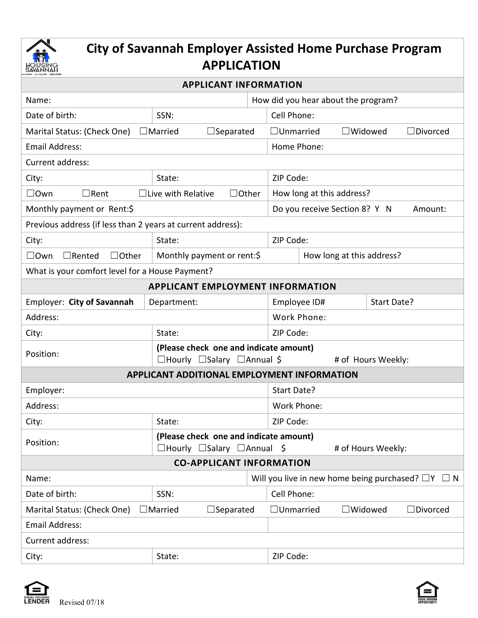

## **City of Savannah Employer Assisted Home Purchase Program APPLICATION**

| Name:                                                                     |                                                                                        | How did you hear about the program?                        |  |  |  |
|---------------------------------------------------------------------------|----------------------------------------------------------------------------------------|------------------------------------------------------------|--|--|--|
| Date of birth:                                                            | SSN:                                                                                   | Cell Phone:                                                |  |  |  |
| $\Box$ Married<br>Marital Status: (Check One)<br>$\Box$ Separated         |                                                                                        | $\Box$ Unmarried<br>$\Box$ Widowed<br>$\Box$ Divorced      |  |  |  |
| <b>Email Address:</b>                                                     |                                                                                        | Home Phone:                                                |  |  |  |
| Current address:                                                          |                                                                                        |                                                            |  |  |  |
| City:                                                                     | State:                                                                                 | ZIP Code:                                                  |  |  |  |
| $\square$ Own<br>$\Box$ Live with Relative<br>$\Box$ Rent<br>$\Box$ Other |                                                                                        | How long at this address?                                  |  |  |  |
| Monthly payment or Rent:\$                                                |                                                                                        | Do you receive Section 8? Y N<br>Amount:                   |  |  |  |
| Previous address (if less than 2 years at current address):               |                                                                                        |                                                            |  |  |  |
| City:                                                                     | State:                                                                                 | ZIP Code:                                                  |  |  |  |
| $\square$ Own<br>$\Box$ Rented<br>$\Box$ Other                            | Monthly payment or rent:\$                                                             | How long at this address?                                  |  |  |  |
| What is your comfort level for a House Payment?                           |                                                                                        |                                                            |  |  |  |
| <b>APPLICANT EMPLOYMENT INFORMATION</b>                                   |                                                                                        |                                                            |  |  |  |
| Employer: City of Savannah<br>Department:                                 |                                                                                        | Employee ID#<br>Start Date?                                |  |  |  |
| Address:                                                                  |                                                                                        | Work Phone:                                                |  |  |  |
| City:                                                                     | State:                                                                                 | ZIP Code:                                                  |  |  |  |
| Position:                                                                 | (Please check one and indicate amount)<br>$\Box$ Hourly $\Box$ Salary $\Box$ Annual \$ | # of Hours Weekly:                                         |  |  |  |
| APPLICANT ADDITIONAL EMPLOYMENT INFORMATION                               |                                                                                        |                                                            |  |  |  |
| Employer:                                                                 |                                                                                        | Start Date?                                                |  |  |  |
| Address:                                                                  |                                                                                        | Work Phone:                                                |  |  |  |
| City:<br>State:                                                           |                                                                                        | ZIP Code:                                                  |  |  |  |
| (Please check one and indicate amount)                                    |                                                                                        |                                                            |  |  |  |
| Position:<br>$\Box$ Hourly $\Box$ Salary $\Box$ Annual \$                 |                                                                                        | # of Hours Weekly:                                         |  |  |  |
| <b>CO-APPLICANT INFORMATION</b>                                           |                                                                                        |                                                            |  |  |  |
| Name:                                                                     |                                                                                        | Will you live in new home being purchased? $\Box Y \Box N$ |  |  |  |
| Date of birth:                                                            | SSN:                                                                                   | Cell Phone:                                                |  |  |  |
| Marital Status: (Check One)<br>$\Box$ Married                             | $\square$ Widowed<br>$\Box$ Divorced<br>$\Box$ Unmarried                               |                                                            |  |  |  |
| <b>Email Address:</b>                                                     |                                                                                        |                                                            |  |  |  |
| Current address:                                                          |                                                                                        |                                                            |  |  |  |
| City:                                                                     | State:                                                                                 | ZIP Code:                                                  |  |  |  |



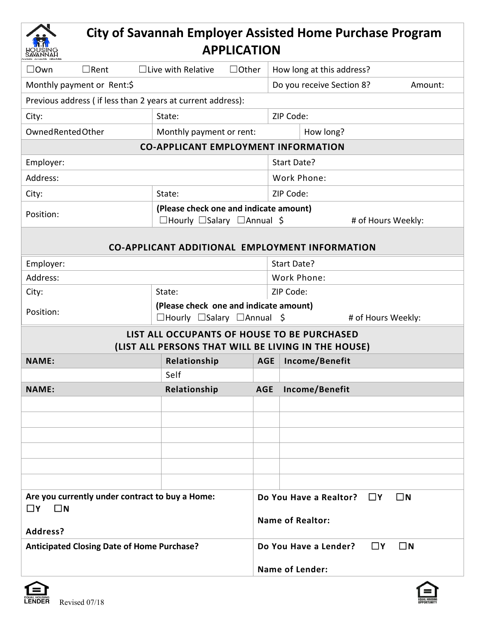| <b>City of Savannah Employer Assisted Home Purchase Program</b><br><b>APPLICATION</b>         |                                                                                                              |            |                                                                                 |  |  |
|-----------------------------------------------------------------------------------------------|--------------------------------------------------------------------------------------------------------------|------------|---------------------------------------------------------------------------------|--|--|
| $\Box$ Own<br>$\Box$ Rent                                                                     | $\Box$ Live with Relative<br>$\Box$ Other                                                                    |            | How long at this address?                                                       |  |  |
| Monthly payment or Rent:\$                                                                    |                                                                                                              |            | Do you receive Section 8?<br>Amount:                                            |  |  |
| Previous address (if less than 2 years at current address):                                   |                                                                                                              |            |                                                                                 |  |  |
| City:                                                                                         | State:                                                                                                       |            | ZIP Code:                                                                       |  |  |
| Owned Rented Other                                                                            | Monthly payment or rent:                                                                                     |            | How long?                                                                       |  |  |
| <b>CO-APPLICANT EMPLOYMENT INFORMATION</b>                                                    |                                                                                                              |            |                                                                                 |  |  |
| Employer:                                                                                     |                                                                                                              |            | Start Date?                                                                     |  |  |
| Address:                                                                                      |                                                                                                              |            | Work Phone:                                                                     |  |  |
| City:                                                                                         | State:                                                                                                       |            | ZIP Code:                                                                       |  |  |
| Position:                                                                                     | (Please check one and indicate amount)<br>$\Box$ Hourly $\Box$ Salary $\Box$ Annual \$<br># of Hours Weekly: |            |                                                                                 |  |  |
| <b>CO-APPLICANT ADDITIONAL EMPLOYMENT INFORMATION</b>                                         |                                                                                                              |            |                                                                                 |  |  |
| Employer:                                                                                     |                                                                                                              |            | Start Date?                                                                     |  |  |
| Address:                                                                                      |                                                                                                              |            | Work Phone:                                                                     |  |  |
| City:                                                                                         | State:                                                                                                       |            | ZIP Code:                                                                       |  |  |
| Position:                                                                                     | (Please check one and indicate amount)<br>$\Box$ Hourly $\Box$ Salary $\Box$ Annual \$<br># of Hours Weekly: |            |                                                                                 |  |  |
|                                                                                               | LIST ALL OCCUPANTS OF HOUSE TO BE PURCHASED                                                                  |            | (LIST ALL PERSONS THAT WILL BE LIVING IN THE HOUSE)                             |  |  |
| <b>NAME:</b>                                                                                  | Relationship                                                                                                 | <b>AGE</b> | Income/Benefit                                                                  |  |  |
|                                                                                               | Self                                                                                                         |            |                                                                                 |  |  |
| <b>NAME:</b>                                                                                  | Relationship                                                                                                 | <b>AGE</b> | Income/Benefit                                                                  |  |  |
|                                                                                               |                                                                                                              |            |                                                                                 |  |  |
|                                                                                               |                                                                                                              |            |                                                                                 |  |  |
|                                                                                               |                                                                                                              |            |                                                                                 |  |  |
|                                                                                               |                                                                                                              |            |                                                                                 |  |  |
|                                                                                               |                                                                                                              |            |                                                                                 |  |  |
|                                                                                               |                                                                                                              |            |                                                                                 |  |  |
| Are you currently under contract to buy a Home:<br>$\Box$ Y<br>$\square$ N<br><b>Address?</b> |                                                                                                              |            | $\square$ N<br>Do You Have a Realtor?<br>$\square$ Y<br><b>Name of Realtor:</b> |  |  |
| <b>Anticipated Closing Date of Home Purchase?</b>                                             |                                                                                                              |            | $\Box$ Y<br>$\square$ N<br>Do You Have a Lender?                                |  |  |
|                                                                                               |                                                                                                              |            | <b>Name of Lender:</b>                                                          |  |  |



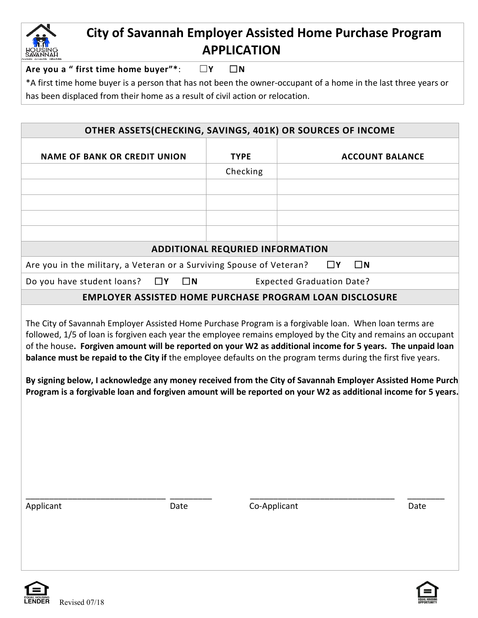

## **City of Savannah Employer Assisted Home Purchase Program APPLICATION**

**Are you a " first time home buyer"\***: ☐**Y** ☐**N**

\*A first time home buyer is a person that has not been the owner-occupant of a home in the last three years or has been displaced from their home as a result of civil action or relocation.

| OTHER ASSETS(CHECKING, SAVINGS, 401K) OR SOURCES OF INCOME                                                                                                                                                                                                                                                                                                                                                                                                                                                                                                                                                                                                                                                                          |             |                                        |                                                                |  |
|-------------------------------------------------------------------------------------------------------------------------------------------------------------------------------------------------------------------------------------------------------------------------------------------------------------------------------------------------------------------------------------------------------------------------------------------------------------------------------------------------------------------------------------------------------------------------------------------------------------------------------------------------------------------------------------------------------------------------------------|-------------|----------------------------------------|----------------------------------------------------------------|--|
| <b>NAME OF BANK OR CREDIT UNION</b>                                                                                                                                                                                                                                                                                                                                                                                                                                                                                                                                                                                                                                                                                                 |             | <b>TYPE</b>                            | <b>ACCOUNT BALANCE</b>                                         |  |
|                                                                                                                                                                                                                                                                                                                                                                                                                                                                                                                                                                                                                                                                                                                                     |             | Checking                               |                                                                |  |
|                                                                                                                                                                                                                                                                                                                                                                                                                                                                                                                                                                                                                                                                                                                                     |             |                                        |                                                                |  |
|                                                                                                                                                                                                                                                                                                                                                                                                                                                                                                                                                                                                                                                                                                                                     |             |                                        |                                                                |  |
|                                                                                                                                                                                                                                                                                                                                                                                                                                                                                                                                                                                                                                                                                                                                     |             |                                        |                                                                |  |
|                                                                                                                                                                                                                                                                                                                                                                                                                                                                                                                                                                                                                                                                                                                                     |             |                                        |                                                                |  |
|                                                                                                                                                                                                                                                                                                                                                                                                                                                                                                                                                                                                                                                                                                                                     |             | <b>ADDITIONAL REQURIED INFORMATION</b> |                                                                |  |
| Are you in the military, a Veteran or a Surviving Spouse of Veteran?                                                                                                                                                                                                                                                                                                                                                                                                                                                                                                                                                                                                                                                                |             |                                        | $\square$ Y<br>$\square$ N                                     |  |
| Do you have student loans?<br>□Υ                                                                                                                                                                                                                                                                                                                                                                                                                                                                                                                                                                                                                                                                                                    | $\square$ N |                                        | <b>Expected Graduation Date?</b>                               |  |
|                                                                                                                                                                                                                                                                                                                                                                                                                                                                                                                                                                                                                                                                                                                                     |             |                                        | <b>EMPLOYER ASSISTED HOME PURCHASE PROGRAM LOAN DISCLOSURE</b> |  |
| The City of Savannah Employer Assisted Home Purchase Program is a forgivable loan. When loan terms are<br>followed, 1/5 of loan is forgiven each year the employee remains employed by the City and remains an occupant<br>of the house. Forgiven amount will be reported on your W2 as additional income for 5 years. The unpaid loan<br>balance must be repaid to the City if the employee defaults on the program terms during the first five years.<br>By signing below, I acknowledge any money received from the City of Savannah Employer Assisted Home Purch<br>Program is a forgivable loan and forgiven amount will be reported on your W2 as additional income for 5 years.<br>Applicant<br>Co-Applicant<br>Date<br>Date |             |                                        |                                                                |  |
|                                                                                                                                                                                                                                                                                                                                                                                                                                                                                                                                                                                                                                                                                                                                     |             |                                        |                                                                |  |
|                                                                                                                                                                                                                                                                                                                                                                                                                                                                                                                                                                                                                                                                                                                                     |             |                                        |                                                                |  |